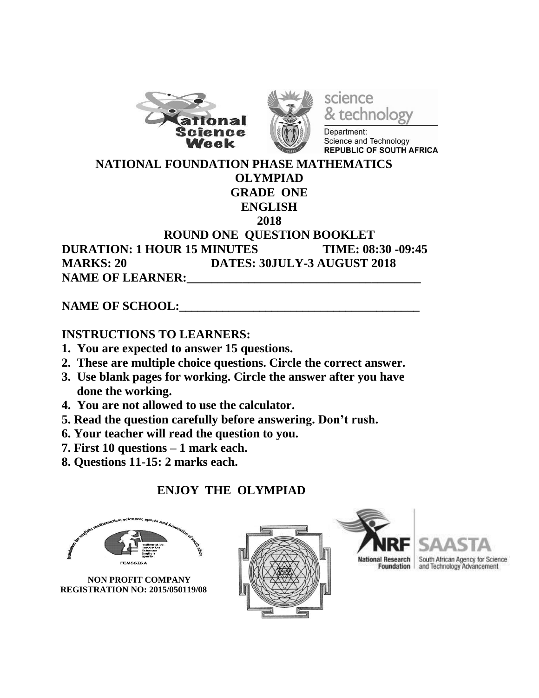



science technology

Department: Science and Technology **REPUBLIC OF SOUTH AFRICA** 

 **NATIONAL FOUNDATION PHASE MATHEMATICS**

### **OLYMPIAD**

#### **GRADE ONE ENGLISH**

#### **2018**

#### **ROUND ONE QUESTION BOOKLET DURATION: 1 HOUR 15 MINUTES TIME: 08:30 -09:45 MARKS: 20 DATES: 30JULY-3 AUGUST 2018** NAME OF LEARNER:

### NAME OF SCHOOL:

### **INSTRUCTIONS TO LEARNERS:**

- **1. You are expected to answer 15 questions.**
- **2. These are multiple choice questions. Circle the correct answer.**
- **3. Use blank pages for working. Circle the answer after you have done the working.**
- **4. You are not allowed to use the calculator.**
- **5. Read the question carefully before answering. Don't rush.**
- **6. Your teacher will read the question to you.**
- **7. First 10 questions – 1 mark each.**
- **8. Questions 11-15: 2 marks each.**

# **ENJOY THE OLYMPIAD**

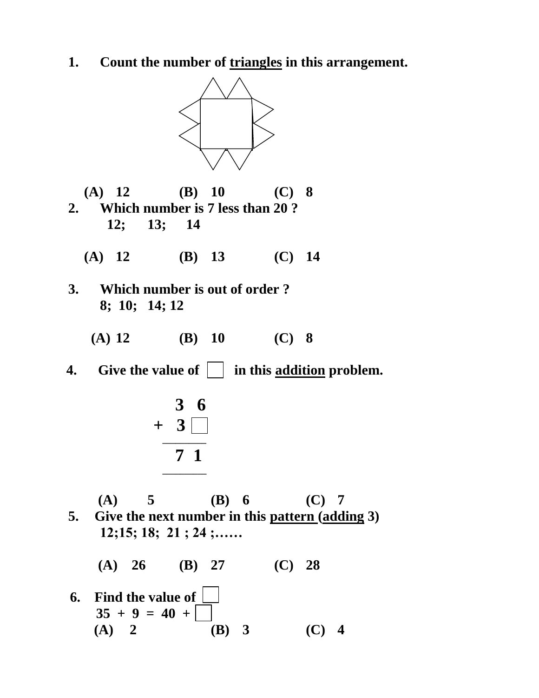**1. Count the number of triangles in this arrangement.**



- **(A) 12 (B) 10 (C) 8 2. Which number is 7 less than 20 ? 12; 13; 14**
	- **(A) 12 (B) 13 (C) 14**
- **3. Which number is out of order ? 8; 10; 14; 12**
	- **(A) 12 (B) 10 (C) 8**
- **4.** Give the value of  $\Box$  in this addition problem.



- **(A) 5 (B) 6 (C) 7 5. Give the next number in this pattern (adding 3) 12;15; 18; 21 ; 24 ;……**
	- **(A) 26 (B) 27 (C) 28**
- **6. Find the value of**   $35 + 9 = 40 +$ **(A) 2 (B) 3 (C) 4**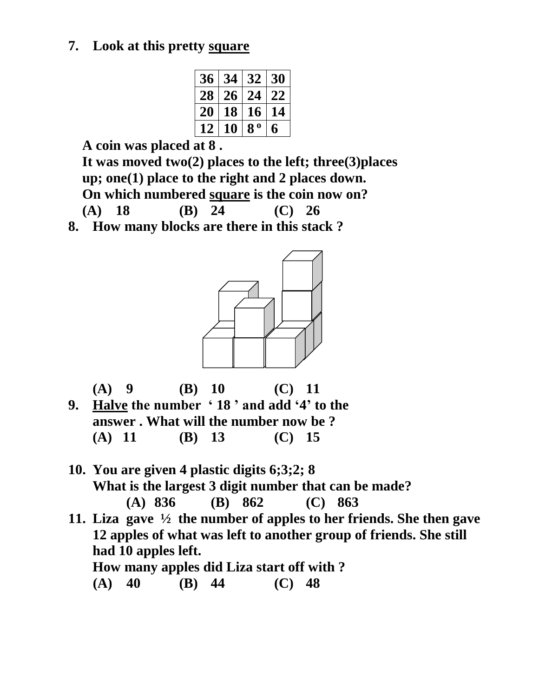### **7. Look at this pretty square**

| 36 | 34 | 32             | 30 |
|----|----|----------------|----|
| 28 | 26 | 24             | 22 |
| 20 | 18 | 16             | 14 |
| 12 | 10 | 8 <sup>0</sup> | 6  |
|    |    |                |    |

 **A coin was placed at 8 .**

 **It was moved two(2) places to the left; three(3)places up; one(1) place to the right and 2 places down. On which numbered square is the coin now on? (A) 18 (B) 24 (C) 26**

**8. How many blocks are there in this stack ?**





**10. You are given 4 plastic digits 6;3;2; 8 What is the largest 3 digit number that can be made? (A) 836 (B) 862 (C) 863 11. Liza gave ½ the number of apples to her friends. She then gave 12 apples of what was left to another group of friends. She still had 10 apples left.**

**How many apples did Liza start off with ?** 

 **(A) 40 (B) 44 (C) 48**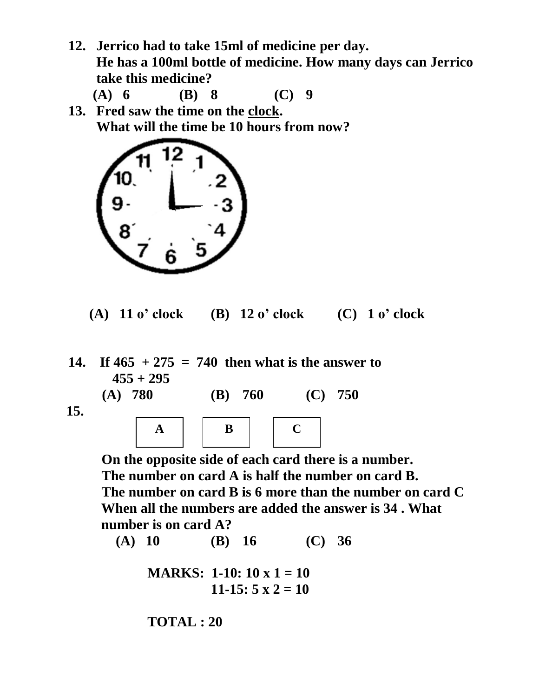**12. Jerrico had to take 15ml of medicine per day. He has a 100ml bottle of medicine. How many days can Jerrico take this medicine?** 

 **(A) 6 (B) 8 (C) 9**

**13. Fred saw the time on the clock. What will the time be 10 hours from now?** 



- **(A) 11 o' clock (B) 12 o' clock (C) 1 o' clock**
- **14. If 465 + 275 = 740 then what is the answer to 455 + 295 (A) 780 (B) 760 (C) 750**

 **15.** 



 **On the opposite side of each card there is a number. The number on card A is half the number on card B. The number on card B is 6 more than the number on card C When all the numbers are added the answer is 34 . What number is on card A?**

**(A) 10 (B) 16 (C) 36**

```
MARKS: 1-10: 10 x 1 = 10
11-15: 5 \times 2 = 10
```
**TOTAL : 20**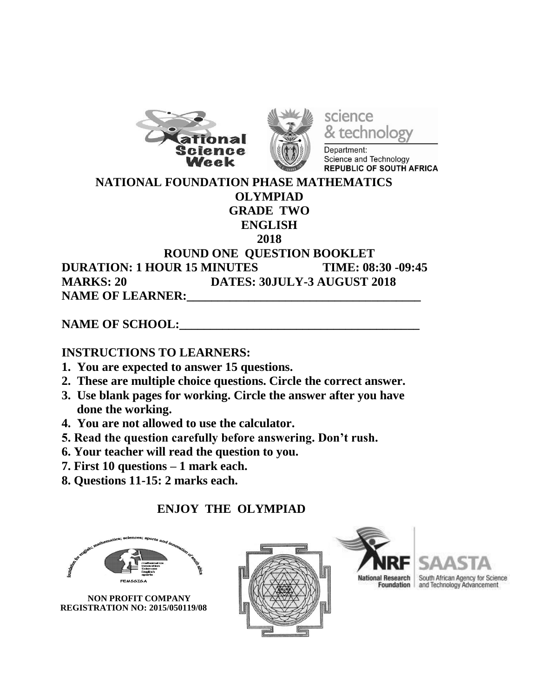



science technology

Department: Science and Technology **REPUBLIC OF SOUTH AFRICA** 

#### **NATIONAL FOUNDATION PHASE MATHEMATICS OLYMPIAD GRADE TWO ENGLISH 2018 ROUND ONE QUESTION BOOKLET DURATION: 1 HOUR 15 MINUTES TIME: 08:30 -09:45 MARKS: 20 DATES: 30JULY-3 AUGUST 2018**

NAME OF LEARNER:

NAME OF SCHOOL:

### **INSTRUCTIONS TO LEARNERS:**

- **1. You are expected to answer 15 questions.**
- **2. These are multiple choice questions. Circle the correct answer.**
- **3. Use blank pages for working. Circle the answer after you have done the working.**
- **4. You are not allowed to use the calculator.**
- **5. Read the question carefully before answering. Don't rush.**
- **6. Your teacher will read the question to you.**
- **7. First 10 questions – 1 mark each.**
- **8. Questions 11-15: 2 marks each.**

### **ENJOY THE OLYMPIAD**



 **NON PROFIT COMPANY REGISTRATION NO: 2015/050119/08**





al Research South African Agency for Science<br>Foundation and Technology Advancement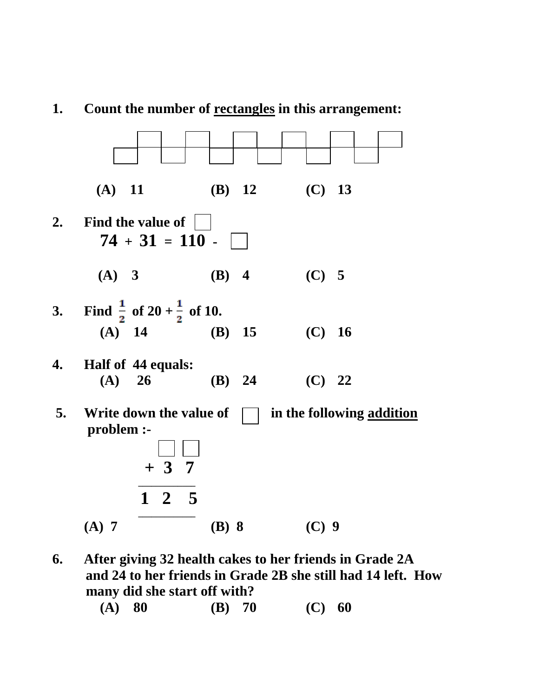

### **1. Count the number of rectangles in this arrangement:**

- **6. After giving 32 health cakes to her friends in Grade 2A and 24 to her friends in Grade 2B she still had 14 left. How many did she start off with?**
	- **(A) 80 (B) 70 (C) 60**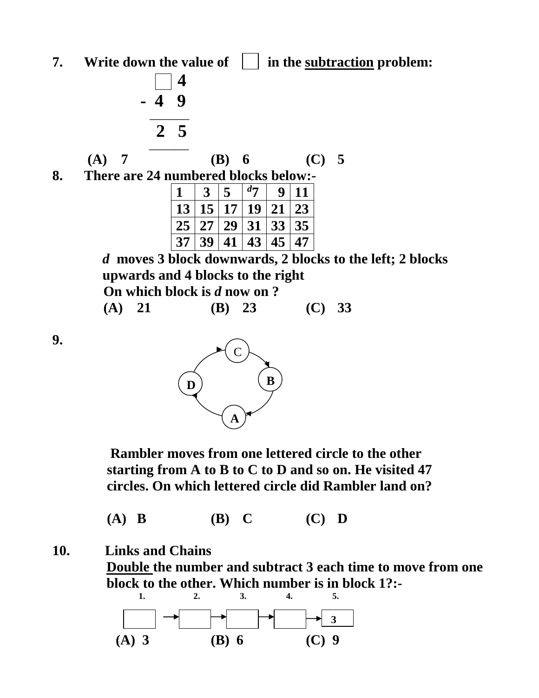**7. Write down the value of**  $\vert \cdot \vert$  **in the subtraction problem:** 



*d* **moves 3 block downwards, 2 blocks to the left; 2 blocks upwards and 4 blocks to the right On which block is** *d* **now on ?**

|  |  | (A) 21 | (B) 23 | (C) 33 |
|--|--|--------|--------|--------|
|--|--|--------|--------|--------|

**9.** 



 **Rambler moves from one lettered circle to the other starting from A to B to C to D and so on. He visited 47 circles. On which lettered circle did Rambler land on?**

 **(A) B (B) C (C) D**

**10. Links and Chains**

**Double the number and subtract 3 each time to move from one block to the other. Which number is in block 1?:-**

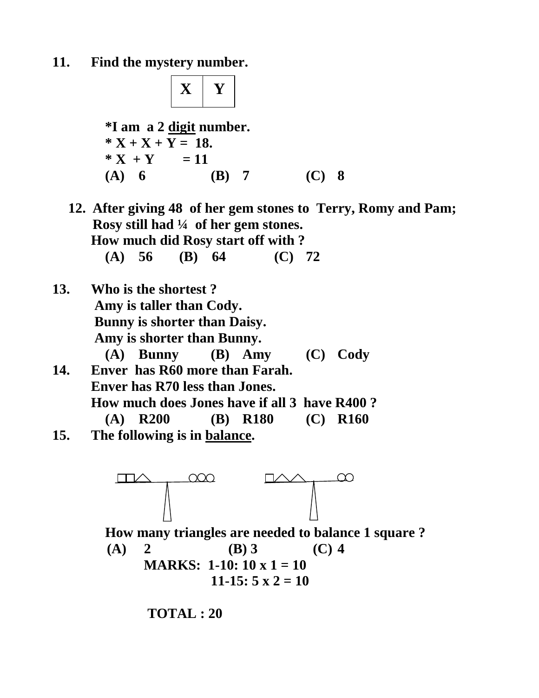**11. Find the mystery number.**



 $11-15: 5 \times 2 = 10$ 

**TOTAL : 20**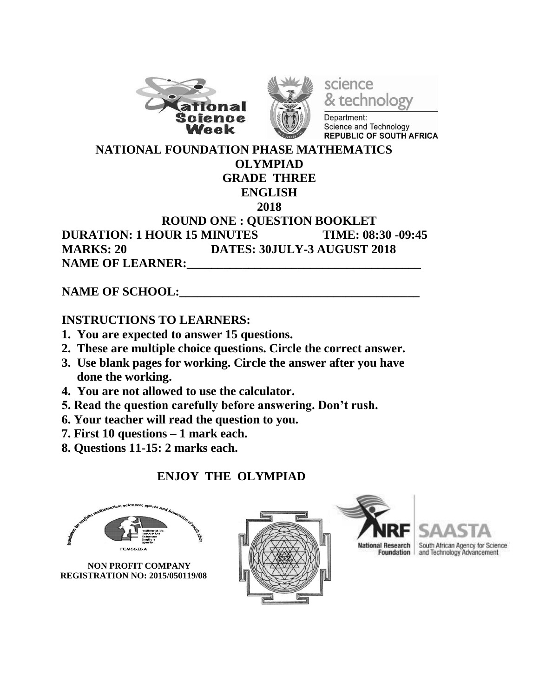



science & technolog

Department: Science and Technology **REPUBLIC OF SOUTH AFRICA** 

#### **NATIONAL FOUNDATION PHASE MATHEMATICS OLYMPIAD GRADE THREE ENGLISH 2018 ROUND ONE : QUESTION BOOKLET DURATION: 1 HOUR 15 MINUTES TIME: 08:30 -09:45 MARKS: 20 DATES: 30JULY-3 AUGUST 2018 NAME OF LEARNER:**

NAME OF SCHOOL:

### **INSTRUCTIONS TO LEARNERS:**

- **1. You are expected to answer 15 questions.**
- **2. These are multiple choice questions. Circle the correct answer.**
- **3. Use blank pages for working. Circle the answer after you have done the working.**
- **4. You are not allowed to use the calculator.**
- **5. Read the question carefully before answering. Don't rush.**
- **6. Your teacher will read the question to you.**
- **7. First 10 questions – 1 mark each.**
- **8. Questions 11-15: 2 marks each.**

## **ENJOY THE OLYMPIAD**



 **NON PROFIT COMPANY REGISTRATION NO: 2015/050119/08**







al Research South African Agency for Science<br>Foundation and Technology Advancement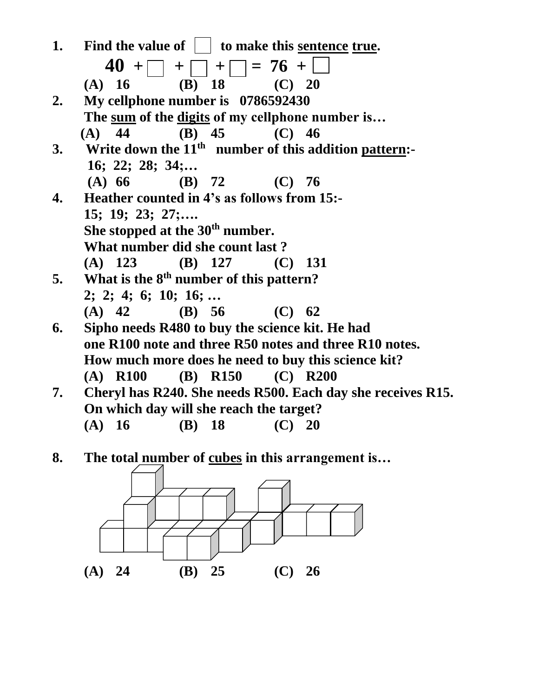

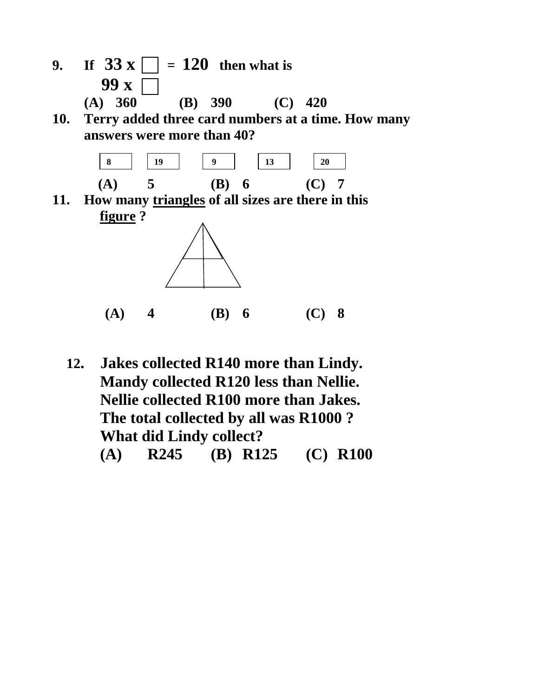- **9. If**  $33 \times \square = 120$  **then what is 99 x (A) 360 (B) 390 (C) 420**
- **10. Terry added three card numbers at a time. How many answers were more than 40?**



**11. How many triangles of all sizes are there in this figure ?**



 **12. Jakes collected R140 more than Lindy. Mandy collected R120 less than Nellie. Nellie collected R100 more than Jakes. The total collected by all was R1000 ? What did Lindy collect? (A) R245 (B) R125 (C) R100**